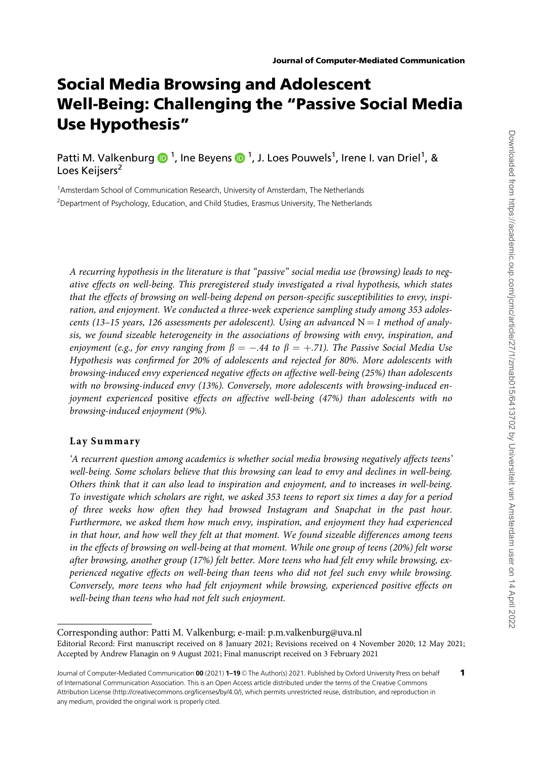# Social Media Browsing and Adolescent Well-Being: Challenging the "Passive Social Media Use Hypothesis"

Patti M. Valkenburg  $\bigcirc$  <sup>1</sup>, Ine Beyens  $\bigcirc$  <sup>1</sup>, J. Loes Pouwels<sup>1</sup>, Irene I. van Driel<sup>1</sup>, & Loes Keijsers<sup>2</sup>

<sup>1</sup>Amsterdam School of Communication Research, University of Amsterdam, The Netherlands <sup>2</sup>Department of Psychology, Education, and Child Studies, Erasmus University, The Netherlands

A recurring hypothesis in the literature is that "passive" social media use (browsing) leads to negative effects on well-being. This preregistered study investigated a rival hypothesis, which states that the effects of browsing on well-being depend on person-specific susceptibilities to envy, inspiration, and enjoyment. We conducted a three-week experience sampling study among 353 adolescents (13-15 years, 126 assessments per adolescent). Using an advanced  $N = 1$  method of analysis, we found sizeable heterogeneity in the associations of browsing with envy, inspiration, and enjoyment (e.g., for envy ranging from  $\beta=-.44$  to  $\beta=+.71$ ). The Passive Social Media Use Hypothesis was confirmed for 20% of adolescents and rejected for 80%. More adolescents with browsing-induced envy experienced negative effects on affective well-being (25%) than adolescents with no browsing-induced envy (13%). Conversely, more adolescents with browsing-induced enjoyment experienced positive effects on affective well-being (47%) than adolescents with no browsing-induced enjoyment (9%).

# Lay Summary

'A recurrent question among academics is whether social media browsing negatively affects teens' well-being. Some scholars believe that this browsing can lead to envy and declines in well-being. Others think that it can also lead to inspiration and enjoyment, and to increases in well-being. To investigate which scholars are right, we asked 353 teens to report six times a day for a period of three weeks how often they had browsed Instagram and Snapchat in the past hour. Furthermore, we asked them how much envy, inspiration, and enjoyment they had experienced in that hour, and how well they felt at that moment. We found sizeable differences among teens in the effects of browsing on well-being at that moment. While one group of teens (20%) felt worse after browsing, another group (17%) felt better. More teens who had felt envy while browsing, experienced negative effects on well-being than teens who did not feel such envy while browsing. Conversely, more teens who had felt enjoyment while browsing, experienced positive effects on well-being than teens who had not felt such enjoyment.

Corresponding author: Patti M. Valkenburg; e-mail: p.m.valkenburg@uva.nl Editorial Record: First manuscript received on 8 January 2021; Revisions received on 4 November 2020; 12 May 2021; Accepted by Andrew Flanagin on 9 August 2021; Final manuscript received on 3 February 2021

Journal of Computer-Mediated Communication 00 (2021) 1-19 © The Author(s) 2021. Published by Oxford University Press on behalf of International Communication Association. This is an Open Access article distributed under the terms of the Creative Commons Attribution License (http://creativecommons.org/licenses/by/4.0/), which permits unrestricted reuse, distribution, and reproduction in any medium, provided the original work is properly cited.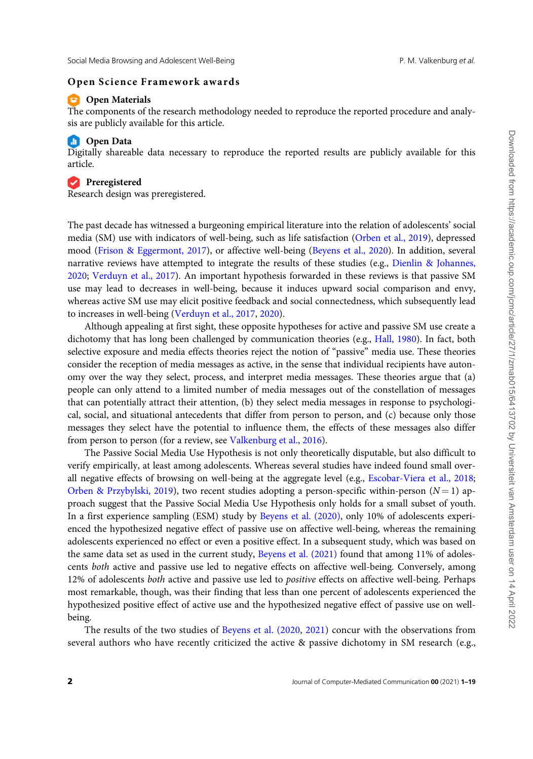#### Open Science Framework awards

# **Commaterials**

The components of the research methodology needed to reproduce the reported procedure and analysis are publicly available for this article.

#### **Comparison** Open Data

Digitally shareable data necessary to reproduce the reported results are publicly available for this article.

#### **Preregistered**

Research design was preregistered.

The past decade has witnessed a burgeoning empirical literature into the relation of adolescents' social media (SM) use with indicators of well-being, such as life satisfaction (Orben et al., 2019), depressed mood (Frison & Eggermont, 2017), or affective well-being (Beyens et al., 2020). In addition, several narrative reviews have attempted to integrate the results of these studies (e.g., Dienlin & Johannes, 2020; Verduyn et al., 2017). An important hypothesis forwarded in these reviews is that passive SM use may lead to decreases in well-being, because it induces upward social comparison and envy, whereas active SM use may elicit positive feedback and social connectedness, which subsequently lead to increases in well-being (Verduyn et al., 2017, 2020).

Although appealing at first sight, these opposite hypotheses for active and passive SM use create a dichotomy that has long been challenged by communication theories (e.g., Hall, 1980). In fact, both selective exposure and media effects theories reject the notion of "passive" media use. These theories consider the reception of media messages as active, in the sense that individual recipients have autonomy over the way they select, process, and interpret media messages. These theories argue that (a) people can only attend to a limited number of media messages out of the constellation of messages that can potentially attract their attention, (b) they select media messages in response to psychological, social, and situational antecedents that differ from person to person, and (c) because only those messages they select have the potential to influence them, the effects of these messages also differ from person to person (for a review, see Valkenburg et al., 2016).

The Passive Social Media Use Hypothesis is not only theoretically disputable, but also difficult to verify empirically, at least among adolescents. Whereas several studies have indeed found small overall negative effects of browsing on well-being at the aggregate level (e.g., Escobar-Viera et al., 2018; Orben & Przybylski, 2019), two recent studies adopting a person-specific within-person ( $N = 1$ ) approach suggest that the Passive Social Media Use Hypothesis only holds for a small subset of youth. In a first experience sampling (ESM) study by Beyens et al. (2020), only 10% of adolescents experienced the hypothesized negative effect of passive use on affective well-being, whereas the remaining adolescents experienced no effect or even a positive effect. In a subsequent study, which was based on the same data set as used in the current study, Beyens et al. (2021) found that among 11% of adolescents both active and passive use led to negative effects on affective well-being. Conversely, among 12% of adolescents both active and passive use led to positive effects on affective well-being. Perhaps most remarkable, though, was their finding that less than one percent of adolescents experienced the hypothesized positive effect of active use and the hypothesized negative effect of passive use on wellbeing.

The results of the two studies of Beyens et al. (2020, 2021) concur with the observations from several authors who have recently criticized the active & passive dichotomy in SM research (e.g.,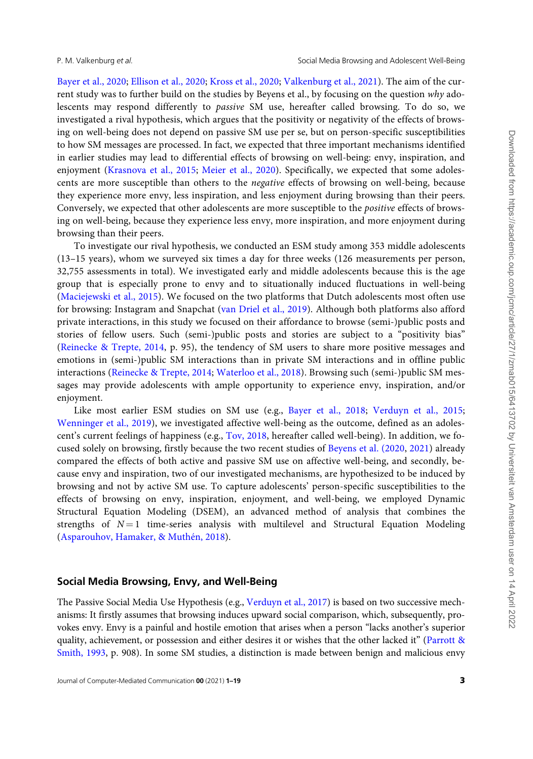Bayer et al., 2020; Ellison et al., 2020; Kross et al., 2020; Valkenburg et al., 2021). The aim of the current study was to further build on the studies by Beyens et al., by focusing on the question why adolescents may respond differently to passive SM use, hereafter called browsing. To do so, we investigated a rival hypothesis, which argues that the positivity or negativity of the effects of browsing on well-being does not depend on passive SM use per se, but on person-specific susceptibilities to how SM messages are processed. In fact, we expected that three important mechanisms identified in earlier studies may lead to differential effects of browsing on well-being: envy, inspiration, and enjoyment (Krasnova et al., 2015; Meier et al., 2020). Specifically, we expected that some adolescents are more susceptible than others to the negative effects of browsing on well-being, because they experience more envy, less inspiration, and less enjoyment during browsing than their peers. Conversely, we expected that other adolescents are more susceptible to the positive effects of browsing on well-being, because they experience less envy, more inspiration, and more enjoyment during browsing than their peers.

To investigate our rival hypothesis, we conducted an ESM study among 353 middle adolescents (13–15 years), whom we surveyed six times a day for three weeks (126 measurements per person, 32,755 assessments in total). We investigated early and middle adolescents because this is the age group that is especially prone to envy and to situationally induced fluctuations in well-being (Maciejewski et al., 2015). We focused on the two platforms that Dutch adolescents most often use for browsing: Instagram and Snapchat (van Driel et al., 2019). Although both platforms also afford private interactions, in this study we focused on their affordance to browse (semi-)public posts and stories of fellow users. Such (semi-)public posts and stories are subject to a "positivity bias" (Reinecke & Trepte, 2014, p. 95), the tendency of SM users to share more positive messages and emotions in (semi-)public SM interactions than in private SM interactions and in offline public interactions (Reinecke & Trepte, 2014; Waterloo et al., 2018). Browsing such (semi-)public SM messages may provide adolescents with ample opportunity to experience envy, inspiration, and/or enjoyment.

Like most earlier ESM studies on SM use (e.g., Bayer et al., 2018; Verduyn et al., 2015; Wenninger et al., 2019), we investigated affective well-being as the outcome, defined as an adolescent's current feelings of happiness (e.g., Tov, 2018, hereafter called well-being). In addition, we focused solely on browsing, firstly because the two recent studies of Beyens et al. (2020, 2021) already compared the effects of both active and passive SM use on affective well-being, and secondly, because envy and inspiration, two of our investigated mechanisms, are hypothesized to be induced by browsing and not by active SM use. To capture adolescents' person-specific susceptibilities to the effects of browsing on envy, inspiration, enjoyment, and well-being, we employed Dynamic Structural Equation Modeling (DSEM), an advanced method of analysis that combines the strengths of  $N=1$  time-series analysis with multilevel and Structural Equation Modeling (Asparouhov, Hamaker, & Muthén, 2018).

# Social Media Browsing, Envy, and Well-Being

The Passive Social Media Use Hypothesis (e.g., Verduyn et al., 2017) is based on two successive mechanisms: It firstly assumes that browsing induces upward social comparison, which, subsequently, provokes envy. Envy is a painful and hostile emotion that arises when a person "lacks another's superior quality, achievement, or possession and either desires it or wishes that the other lacked it" (Parrott & Smith, 1993, p. 908). In some SM studies, a distinction is made between benign and malicious envy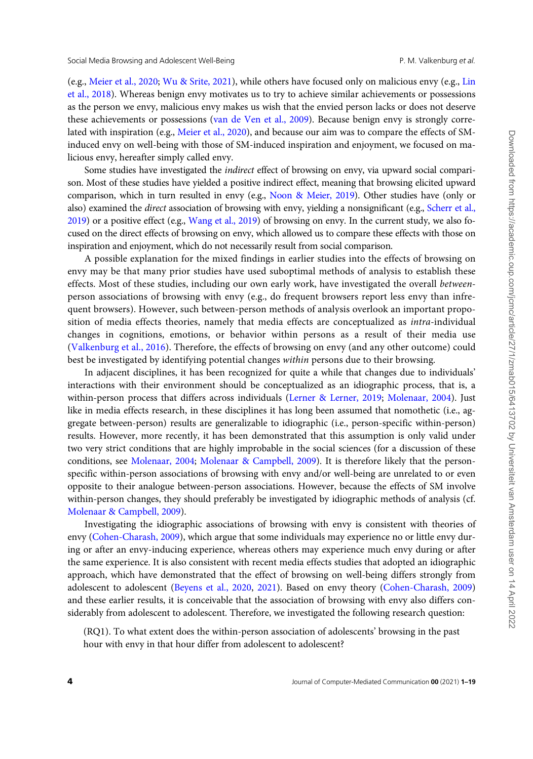(e.g., Meier et al., 2020; Wu & Srite, 2021), while others have focused only on malicious envy (e.g., Lin et al., 2018). Whereas benign envy motivates us to try to achieve similar achievements or possessions as the person we envy, malicious envy makes us wish that the envied person lacks or does not deserve these achievements or possessions (van de Ven et al., 2009). Because benign envy is strongly correlated with inspiration (e.g., Meier et al., 2020), and because our aim was to compare the effects of SMinduced envy on well-being with those of SM-induced inspiration and enjoyment, we focused on malicious envy, hereafter simply called envy.

Some studies have investigated the indirect effect of browsing on envy, via upward social comparison. Most of these studies have yielded a positive indirect effect, meaning that browsing elicited upward comparison, which in turn resulted in envy (e.g., Noon & Meier, 2019). Other studies have (only or also) examined the *direct* association of browsing with envy, yielding a nonsignificant (e.g., Scherr et al., 2019) or a positive effect (e.g., Wang et al., 2019) of browsing on envy. In the current study, we also focused on the direct effects of browsing on envy, which allowed us to compare these effects with those on inspiration and enjoyment, which do not necessarily result from social comparison.

A possible explanation for the mixed findings in earlier studies into the effects of browsing on envy may be that many prior studies have used suboptimal methods of analysis to establish these effects. Most of these studies, including our own early work, have investigated the overall betweenperson associations of browsing with envy (e.g., do frequent browsers report less envy than infrequent browsers). However, such between-person methods of analysis overlook an important proposition of media effects theories, namely that media effects are conceptualized as intra-individual changes in cognitions, emotions, or behavior within persons as a result of their media use (Valkenburg et al., 2016). Therefore, the effects of browsing on envy (and any other outcome) could best be investigated by identifying potential changes within persons due to their browsing.

In adjacent disciplines, it has been recognized for quite a while that changes due to individuals' interactions with their environment should be conceptualized as an idiographic process, that is, a within-person process that differs across individuals (Lerner & Lerner, 2019; Molenaar, 2004). Just like in media effects research, in these disciplines it has long been assumed that nomothetic (i.e., aggregate between-person) results are generalizable to idiographic (i.e., person-specific within-person) results. However, more recently, it has been demonstrated that this assumption is only valid under two very strict conditions that are highly improbable in the social sciences (for a discussion of these conditions, see Molenaar, 2004; Molenaar & Campbell, 2009). It is therefore likely that the personspecific within-person associations of browsing with envy and/or well-being are unrelated to or even opposite to their analogue between-person associations. However, because the effects of SM involve within-person changes, they should preferably be investigated by idiographic methods of analysis (cf. Molenaar & Campbell, 2009).

Investigating the idiographic associations of browsing with envy is consistent with theories of envy (Cohen-Charash, 2009), which argue that some individuals may experience no or little envy during or after an envy-inducing experience, whereas others may experience much envy during or after the same experience. It is also consistent with recent media effects studies that adopted an idiographic approach, which have demonstrated that the effect of browsing on well-being differs strongly from adolescent to adolescent (Beyens et al., 2020, 2021). Based on envy theory (Cohen-Charash, 2009) and these earlier results, it is conceivable that the association of browsing with envy also differs considerably from adolescent to adolescent. Therefore, we investigated the following research question:

(RQ1). To what extent does the within-person association of adolescents' browsing in the past hour with envy in that hour differ from adolescent to adolescent?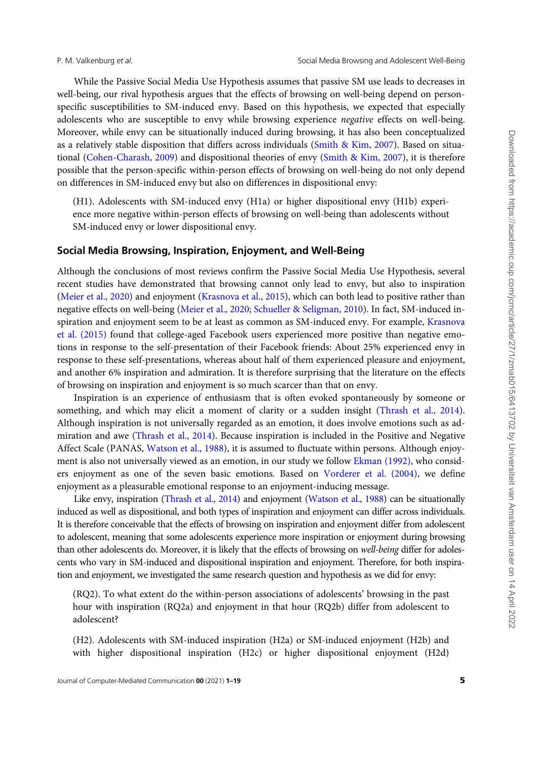While the Passive Social Media Use Hypothesis assumes that passive SM use leads to decreases in well-being, our rival hypothesis argues that the effects of browsing on well-being depend on personspecific susceptibilities to SM-induced envy. Based on this hypothesis, we expected that especially adolescents who are susceptible to envy while browsing experience negative effects on well-being. Moreover, while envy can be situationally induced during browsing, it has also been conceptualized as a relatively stable disposition that differs across individuals (Smith & Kim, 2007). Based on situational (Cohen-Charash, 2009) and dispositional theories of envy (Smith & Kim, 2007), it is therefore possible that the person-specific within-person effects of browsing on well-being do not only depend on differences in SM-induced envy but also on differences in dispositional envy:

(H1). Adolescents with SM-induced envy (H1a) or higher dispositional envy (H1b) experience more negative within-person effects of browsing on well-being than adolescents without SM-induced envy or lower dispositional envy.

#### Social Media Browsing, Inspiration, Enjoyment, and Well-Being

Although the conclusions of most reviews confirm the Passive Social Media Use Hypothesis, several recent studies have demonstrated that browsing cannot only lead to envy, but also to inspiration (Meier et al., 2020) and enjoyment (Krasnova et al., 2015), which can both lead to positive rather than negative effects on well-being (Meier et al., 2020; Schueller & Seligman, 2010). In fact, SM-induced inspiration and enjoyment seem to be at least as common as SM-induced envy. For example, Krasnova et al. (2015) found that college-aged Facebook users experienced more positive than negative emotions in response to the self-presentation of their Facebook friends: About 25% experienced envy in response to these self-presentations, whereas about half of them experienced pleasure and enjoyment, and another 6% inspiration and admiration. It is therefore surprising that the literature on the effects of browsing on inspiration and enjoyment is so much scarcer than that on envy.

Inspiration is an experience of enthusiasm that is often evoked spontaneously by someone or something, and which may elicit a moment of clarity or a sudden insight (Thrash et al., 2014). Although inspiration is not universally regarded as an emotion, it does involve emotions such as admiration and awe (Thrash et al., 2014). Because inspiration is included in the Positive and Negative Affect Scale (PANAS, Watson et al., 1988), it is assumed to fluctuate within persons. Although enjoyment is also not universally viewed as an emotion, in our study we follow Ekman (1992), who considers enjoyment as one of the seven basic emotions. Based on Vorderer et al. (2004), we define enjoyment as a pleasurable emotional response to an enjoyment-inducing message.

Like envy, inspiration (Thrash et al., 2014) and enjoyment (Watson et al., 1988) can be situationally induced as well as dispositional, and both types of inspiration and enjoyment can differ across individuals. It is therefore conceivable that the effects of browsing on inspiration and enjoyment differ from adolescent to adolescent, meaning that some adolescents experience more inspiration or enjoyment during browsing than other adolescents do. Moreover, it is likely that the effects of browsing on well-being differ for adolescents who vary in SM-induced and dispositional inspiration and enjoyment. Therefore, for both inspiration and enjoyment, we investigated the same research question and hypothesis as we did for envy:

(RQ2). To what extent do the within-person associations of adolescents' browsing in the past hour with inspiration (RQ2a) and enjoyment in that hour (RQ2b) differ from adolescent to adolescent?

(H2). Adolescents with SM-induced inspiration (H2a) or SM-induced enjoyment (H2b) and with higher dispositional inspiration (H2c) or higher dispositional enjoyment (H2d)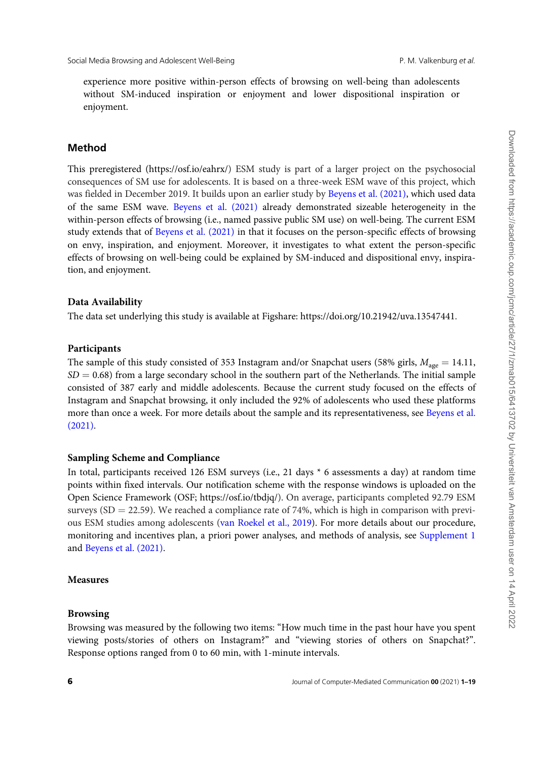experience more positive within-person effects of browsing on well-being than adolescents without SM-induced inspiration or enjoyment and lower dispositional inspiration or enjoyment.

# Method

This preregistered (https://osf.io/eahrx/) ESM study is part of a larger project on the psychosocial consequences of SM use for adolescents. It is based on a three-week ESM wave of this project, which was fielded in December 2019. It builds upon an earlier study by Beyens et al. (2021), which used data of the same ESM wave. Beyens et al. (2021) already demonstrated sizeable heterogeneity in the within-person effects of browsing (i.e., named passive public SM use) on well-being. The current ESM study extends that of Beyens et al. (2021) in that it focuses on the person-specific effects of browsing on envy, inspiration, and enjoyment. Moreover, it investigates to what extent the person-specific effects of browsing on well-being could be explained by SM-induced and dispositional envy, inspiration, and enjoyment.

# Data Availability

The data set underlying this study is available at Figshare: https://doi.org/10.21942/uva.13547441.

#### Participants

The sample of this study consisted of 353 Instagram and/or Snapchat users (58% girls,  $M_{\text{age}} = 14.11$ ,  $SD = 0.68$ ) from a large secondary school in the southern part of the Netherlands. The initial sample consisted of 387 early and middle adolescents. Because the current study focused on the effects of Instagram and Snapchat browsing, it only included the 92% of adolescents who used these platforms more than once a week. For more details about the sample and its representativeness, see Beyens et al. (2021).

#### Sampling Scheme and Compliance

In total, participants received 126 ESM surveys (i.e., 21 days \* 6 assessments a day) at random time points within fixed intervals. Our notification scheme with the response windows is uploaded on the Open Science Framework (OSF; https://osf.io/tbdjq/). On average, participants completed 92.79 ESM surveys (SD = 22.59). We reached a compliance rate of 74%, which is high in comparison with previous ESM studies among adolescents (van Roekel et al., 2019). For more details about our procedure, monitoring and incentives plan, a priori power analyses, and methods of analysis, see Supplement 1 and Beyens et al. (2021).

# Measures

#### Browsing

Browsing was measured by the following two items: "How much time in the past hour have you spent viewing posts/stories of others on Instagram?" and "viewing stories of others on Snapchat?". Response options ranged from 0 to 60 min, with 1-minute intervals.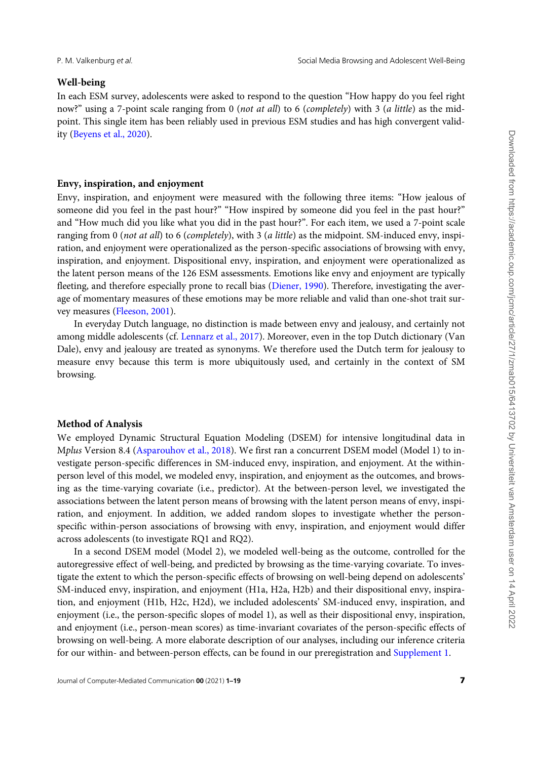#### Well-being

In each ESM survey, adolescents were asked to respond to the question "How happy do you feel right now?" using a 7-point scale ranging from 0 (not at all) to 6 (completely) with 3 (a little) as the midpoint. This single item has been reliably used in previous ESM studies and has high convergent validity (Beyens et al., 2020).

# Envy, inspiration, and enjoyment

Envy, inspiration, and enjoyment were measured with the following three items: "How jealous of someone did you feel in the past hour?" "How inspired by someone did you feel in the past hour?" and "How much did you like what you did in the past hour?". For each item, we used a 7-point scale ranging from 0 (not at all) to 6 (completely), with 3 (a little) as the midpoint. SM-induced envy, inspiration, and enjoyment were operationalized as the person-specific associations of browsing with envy, inspiration, and enjoyment. Dispositional envy, inspiration, and enjoyment were operationalized as the latent person means of the 126 ESM assessments. Emotions like envy and enjoyment are typically fleeting, and therefore especially prone to recall bias (Diener, 1990). Therefore, investigating the average of momentary measures of these emotions may be more reliable and valid than one-shot trait survey measures (Fleeson, 2001).

In everyday Dutch language, no distinction is made between envy and jealousy, and certainly not among middle adolescents (cf. Lennarz et al., 2017). Moreover, even in the top Dutch dictionary (Van Dale), envy and jealousy are treated as synonyms. We therefore used the Dutch term for jealousy to measure envy because this term is more ubiquitously used, and certainly in the context of SM browsing.

### Method of Analysis

We employed Dynamic Structural Equation Modeling (DSEM) for intensive longitudinal data in Mplus Version 8.4 (Asparouhov et al., 2018). We first ran a concurrent DSEM model (Model 1) to investigate person-specific differences in SM-induced envy, inspiration, and enjoyment. At the withinperson level of this model, we modeled envy, inspiration, and enjoyment as the outcomes, and browsing as the time-varying covariate (i.e., predictor). At the between-person level, we investigated the associations between the latent person means of browsing with the latent person means of envy, inspiration, and enjoyment. In addition, we added random slopes to investigate whether the personspecific within-person associations of browsing with envy, inspiration, and enjoyment would differ across adolescents (to investigate RQ1 and RQ2).

In a second DSEM model (Model 2), we modeled well-being as the outcome, controlled for the autoregressive effect of well-being, and predicted by browsing as the time-varying covariate. To investigate the extent to which the person-specific effects of browsing on well-being depend on adolescents' SM-induced envy, inspiration, and enjoyment (H1a, H2a, H2b) and their dispositional envy, inspiration, and enjoyment (H1b, H2c, H2d), we included adolescents' SM-induced envy, inspiration, and enjoyment (i.e., the person-specific slopes of model 1), as well as their dispositional envy, inspiration, and enjoyment (i.e., person-mean scores) as time-invariant covariates of the person-specific effects of browsing on well-being. A more elaborate description of our analyses, including our inference criteria for our within- and between-person effects, can be found in our preregistration and Supplement 1.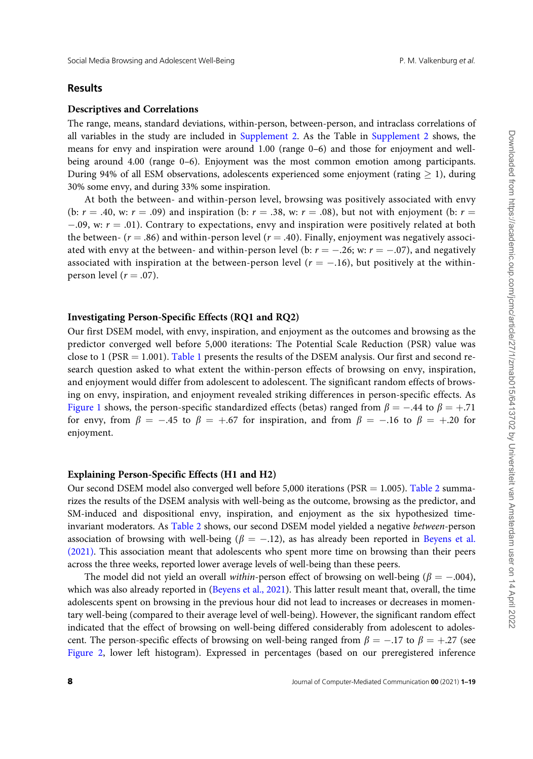#### Results

#### Descriptives and Correlations

The range, means, standard deviations, within-person, between-person, and intraclass correlations of all variables in the study are included in Supplement 2. As the Table in Supplement 2 shows, the means for envy and inspiration were around 1.00 (range 0–6) and those for enjoyment and wellbeing around 4.00 (range 0–6). Enjoyment was the most common emotion among participants. During 94% of all ESM observations, adolescents experienced some enjoyment (rating  $> 1$ ), during 30% some envy, and during 33% some inspiration.

At both the between- and within-person level, browsing was positively associated with envy (b:  $r = .40$ , w:  $r = .09$ ) and inspiration (b:  $r = .38$ , w:  $r = .08$ ), but not with enjoyment (b:  $r =$  $-0.09$ , w:  $r = 0.01$ ). Contrary to expectations, envy and inspiration were positively related at both the between-  $(r = .86)$  and within-person level  $(r = .40)$ . Finally, enjoyment was negatively associated with envy at the between- and within-person level (b:  $r = -.26$ ; w:  $r = -.07$ ), and negatively associated with inspiration at the between-person level ( $r = -.16$ ), but positively at the withinperson level  $(r = .07)$ .

### Investigating Person-Specific Effects (RQ1 and RQ2)

Our first DSEM model, with envy, inspiration, and enjoyment as the outcomes and browsing as the predictor converged well before 5,000 iterations: The Potential Scale Reduction (PSR) value was close to 1 (PSR  $=$  1.001). Table 1 presents the results of the DSEM analysis. Our first and second research question asked to what extent the within-person effects of browsing on envy, inspiration, and enjoyment would differ from adolescent to adolescent. The significant random effects of browsing on envy, inspiration, and enjoyment revealed striking differences in person-specific effects. As Figure 1 shows, the person-specific standardized effects (betas) ranged from  $\beta = -.44$  to  $\beta = +.71$ for envy, from  $\beta = -.45$  to  $\beta = +.67$  for inspiration, and from  $\beta = -.16$  to  $\beta = +.20$  for enjoyment.

#### Explaining Person-Specific Effects (H1 and H2)

Our second DSEM model also converged well before 5,000 iterations (PSR  $=$  1.005). Table 2 summarizes the results of the DSEM analysis with well-being as the outcome, browsing as the predictor, and SM-induced and dispositional envy, inspiration, and enjoyment as the six hypothesized timeinvariant moderators. As Table 2 shows, our second DSEM model yielded a negative between-person association of browsing with well-being ( $\beta = -.12$ ), as has already been reported in Beyens et al. (2021). This association meant that adolescents who spent more time on browsing than their peers across the three weeks, reported lower average levels of well-being than these peers.

The model did not yield an overall within-person effect of browsing on well-being ( $\beta = -.004$ ), which was also already reported in (Beyens et al., 2021). This latter result meant that, overall, the time adolescents spent on browsing in the previous hour did not lead to increases or decreases in momentary well-being (compared to their average level of well-being). However, the significant random effect indicated that the effect of browsing on well-being differed considerably from adolescent to adolescent. The person-specific effects of browsing on well-being ranged from  $\beta = -.17$  to  $\beta = +.27$  (see Figure 2, lower left histogram). Expressed in percentages (based on our preregistered inference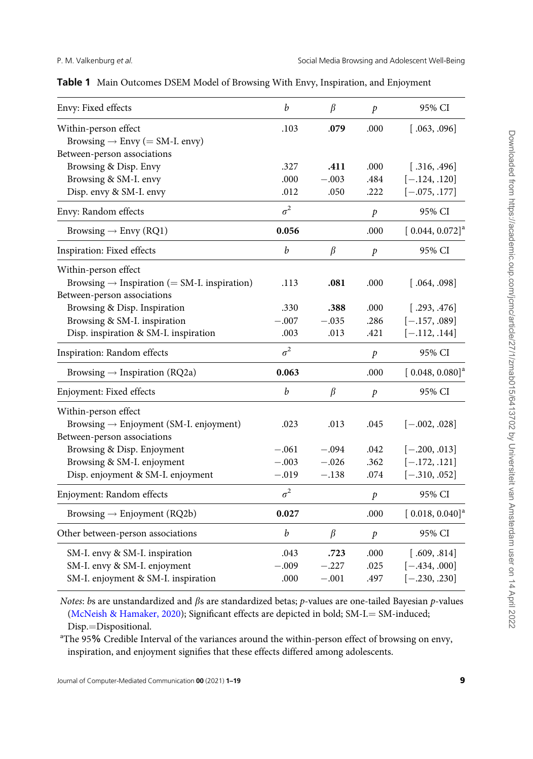|  | Table 1 Main Outcomes DSEM Model of Browsing With Envy, Inspiration, and Enjoyment |  |  |  |  |  |
|--|------------------------------------------------------------------------------------|--|--|--|--|--|
|--|------------------------------------------------------------------------------------|--|--|--|--|--|

| $\boldsymbol{b}$ | $\beta$ | $\mathcal{P}$    | 95% CI                        |
|------------------|---------|------------------|-------------------------------|
| .103             | .079    | .000             | [.063, .096]                  |
|                  |         |                  |                               |
|                  |         |                  |                               |
| .327             | .411    | .000             | [.316, .496]                  |
| .000             | $-.003$ | .484             | $[-.124, .120]$               |
| .012             | .050    | .222             | $[-.075, .177]$               |
| $\sigma^2$       |         | $\boldsymbol{p}$ | 95% CI                        |
| 0.056            |         | .000             | $[0.044, 0.072]$ <sup>a</sup> |
| $\boldsymbol{b}$ | $\beta$ | $\boldsymbol{p}$ | 95% CI                        |
|                  |         |                  |                               |
| .113             | .081    | .000             | [.064, .098]                  |
|                  |         |                  |                               |
| .330             | .388    | .000             | [.293, .476]                  |
| $-.007$          | $-.035$ | .286             | $[-.157, .089]$               |
| .003             | .013    | .421             | $[-.112, .144]$               |
| $\sigma^2$       |         | $\boldsymbol{p}$ | 95% CI                        |
| 0.063            |         | .000             | $[0.048, 0.080]^a$            |
| b                | $\beta$ | $\boldsymbol{p}$ | 95% CI                        |
|                  |         |                  |                               |
| .023             | .013    | .045             | $[-.002, .028]$               |
|                  |         |                  |                               |
| $-.061$          | $-.094$ | .042             | $[-.200, .013]$               |
| $-.003$          | $-.026$ | .362             | $[-.172, .121]$               |
| $-.019$          | $-.138$ | .074             | $[-.310, .052]$               |
| $\sigma^2$       |         | $\boldsymbol{p}$ | 95% CI                        |
| 0.027            |         | .000             | $[0.018, 0.040]$ <sup>a</sup> |
| $\boldsymbol{b}$ | $\beta$ | $\dot{p}$        | 95% CI                        |
| .043             | .723    | .000             | [.609, .814]                  |
| $-.009$          | $-.227$ | .025             | $[-.434, .000]$               |
| .000             | $-.001$ | .497             | $[-.230, .230]$               |
|                  |         |                  |                               |

Notes: bs are unstandardized and  $\beta$ s are standardized betas;  $p$ -values are one-tailed Bayesian  $p$ -values (McNeish & Hamaker, 2020); Significant effects are depicted in bold;  $SM-I = SM$ -induced; Disp.=Dispositional.

<sup>a</sup>The 95% Credible Interval of the variances around the within-person effect of browsing on envy, inspiration, and enjoyment signifies that these effects differed among adolescents.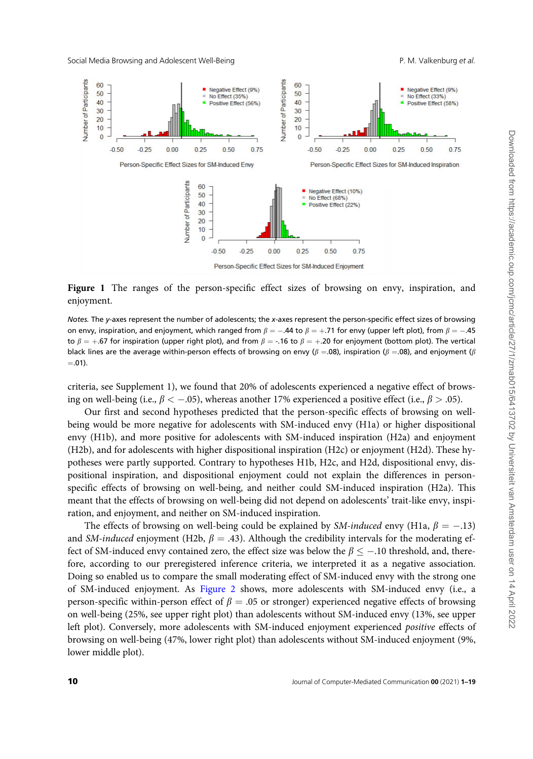Social Media Browsing and Adolescent Well-Being P. M. Valkenburg et al.



Figure 1 The ranges of the person-specific effect sizes of browsing on envy, inspiration, and enjoyment.

Notes. The y-axes represent the number of adolescents; the x-axes represent the person-specific effect sizes of browsing on envy, inspiration, and enjoyment, which ranged from  $\beta=-.44$  to  $\beta=+.71$  for envy (upper left plot), from  $\beta=-.45$ to  $\beta = +.67$  for inspiration (upper right plot), and from  $\beta = -.16$  to  $\beta = +.20$  for enjoyment (bottom plot). The vertical black lines are the average within-person effects of browsing on envy ( $\beta = .08$ ), inspiration ( $\beta = .08$ ), and enjoyment ( $\beta$  $= .01$ ).

criteria, see Supplement 1), we found that 20% of adolescents experienced a negative effect of browsing on well-being (i.e.,  $\beta < -0.05$ ), whereas another 17% experienced a positive effect (i.e.,  $\beta > .05$ ).

Our first and second hypotheses predicted that the person-specific effects of browsing on wellbeing would be more negative for adolescents with SM-induced envy (H1a) or higher dispositional envy (H1b), and more positive for adolescents with SM-induced inspiration (H2a) and enjoyment (H2b), and for adolescents with higher dispositional inspiration (H2c) or enjoyment (H2d). These hypotheses were partly supported. Contrary to hypotheses H1b, H2c, and H2d, dispositional envy, dispositional inspiration, and dispositional enjoyment could not explain the differences in personspecific effects of browsing on well-being, and neither could SM-induced inspiration (H2a). This meant that the effects of browsing on well-being did not depend on adolescents' trait-like envy, inspiration, and enjoyment, and neither on SM-induced inspiration.

The effects of browsing on well-being could be explained by *SM-induced* envy (H1a,  $\beta = -.13$ ) and SM-induced enjoyment (H2b,  $\beta = .43$ ). Although the credibility intervals for the moderating effect of SM-induced envy contained zero, the effect size was below the  $\beta \leq -.10$  threshold, and, therefore, according to our preregistered inference criteria, we interpreted it as a negative association. Doing so enabled us to compare the small moderating effect of SM-induced envy with the strong one of SM-induced enjoyment. As Figure 2 shows, more adolescents with SM-induced envy (i.e., a person-specific within-person effect of  $\beta = 0.05$  or stronger) experienced negative effects of browsing on well-being (25%, see upper right plot) than adolescents without SM-induced envy (13%, see upper left plot). Conversely, more adolescents with SM-induced enjoyment experienced positive effects of browsing on well-being (47%, lower right plot) than adolescents without SM-induced enjoyment (9%, lower middle plot).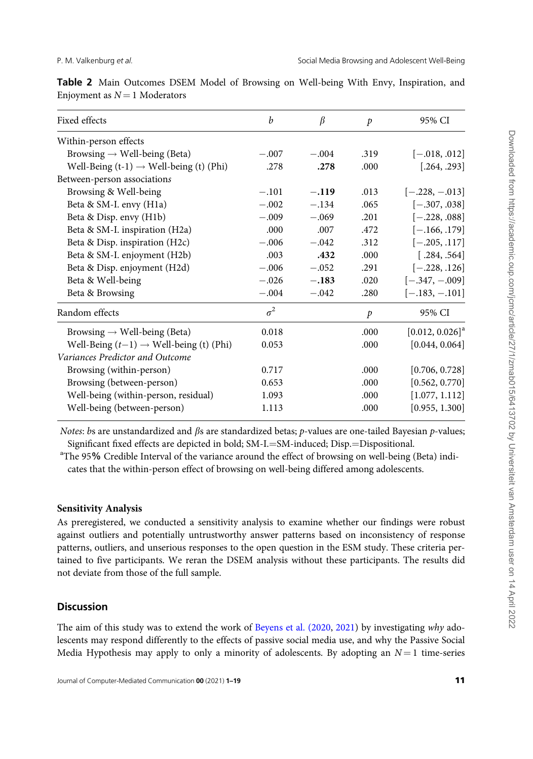| Fixed effects                                       | b          | $\beta$ | $\mathcal{P}$ | 95% CI                        |
|-----------------------------------------------------|------------|---------|---------------|-------------------------------|
| Within-person effects                               |            |         |               |                               |
| Browsing $\rightarrow$ Well-being (Beta)            | $-.007$    | $-.004$ | .319          | $[-.018, .012]$               |
| Well-Being $(t-1) \rightarrow$ Well-being (t) (Phi) | .278       | .278    | .000          | [.264, .293]                  |
| Between-person associations                         |            |         |               |                               |
| Browsing & Well-being                               | $-.101$    | $-.119$ | .013          | $[-.228, -.013]$              |
| Beta & SM-I. envy (H1a)                             | $-.002$    | $-.134$ | .065          | $[-.307, .038]$               |
| Beta & Disp. envy (H1b)                             | $-.009$    | $-.069$ | .201          | $[-.228, .088]$               |
| Beta & SM-I. inspiration (H2a)                      | .000       | .007    | .472          | $[-.166, .179]$               |
| Beta & Disp. inspiration (H2c)                      | $-.006$    | $-.042$ | .312          | $[-.205, .117]$               |
| Beta & SM-I. enjoyment (H2b)                        | .003       | .432    | .000          | [.284, .564]                  |
| Beta & Disp. enjoyment (H2d)                        | $-.006$    | $-.052$ | .291          | $[-.228, .126]$               |
| Beta & Well-being                                   | $-.026$    | $-.183$ | .020          | $[-.347, -.009]$              |
| Beta & Browsing                                     | $-.004$    | $-.042$ | .280          | $[-.183, -.101]$              |
| Random effects                                      | $\sigma^2$ |         | $\mathcal{P}$ | 95% CI                        |
| Browsing $\rightarrow$ Well-being (Beta)            | 0.018      |         | .000          | $[0.012, 0.026]$ <sup>a</sup> |
| Well-Being $(t-1) \rightarrow$ Well-being (t) (Phi) | 0.053      |         | .000          | [0.044, 0.064]                |
| Variances Predictor and Outcome                     |            |         |               |                               |
| Browsing (within-person)                            | 0.717      |         | .000          | [0.706, 0.728]                |
| Browsing (between-person)                           | 0.653      |         | .000          | [0.562, 0.770]                |
| Well-being (within-person, residual)                | 1.093      |         | .000          | [1.077, 1.112]                |
| Well-being (between-person)                         | 1.113      |         | .000          | [0.955, 1.300]                |
|                                                     |            |         |               |                               |

Table 2 Main Outcomes DSEM Model of Browsing on Well-being With Envy, Inspiration, and Enjoyment as  $N = 1$  Moderators

Notes: bs are unstandardized and  $\beta s$  are standardized betas; p-values are one-tailed Bayesian p-values; Significant fixed effects are depicted in bold; SM-I.=SM-induced; Disp.=Dispositional.

<sup>a</sup>The 95% Credible Interval of the variance around the effect of browsing on well-being (Beta) indicates that the within-person effect of browsing on well-being differed among adolescents.

# Sensitivity Analysis

As preregistered, we conducted a sensitivity analysis to examine whether our findings were robust against outliers and potentially untrustworthy answer patterns based on inconsistency of response patterns, outliers, and unserious responses to the open question in the ESM study. These criteria pertained to five participants. We reran the DSEM analysis without these participants. The results did not deviate from those of the full sample.

# **Discussion**

The aim of this study was to extend the work of Beyens et al. (2020, 2021) by investigating why adolescents may respond differently to the effects of passive social media use, and why the Passive Social Media Hypothesis may apply to only a minority of adolescents. By adopting an  $N = 1$  time-series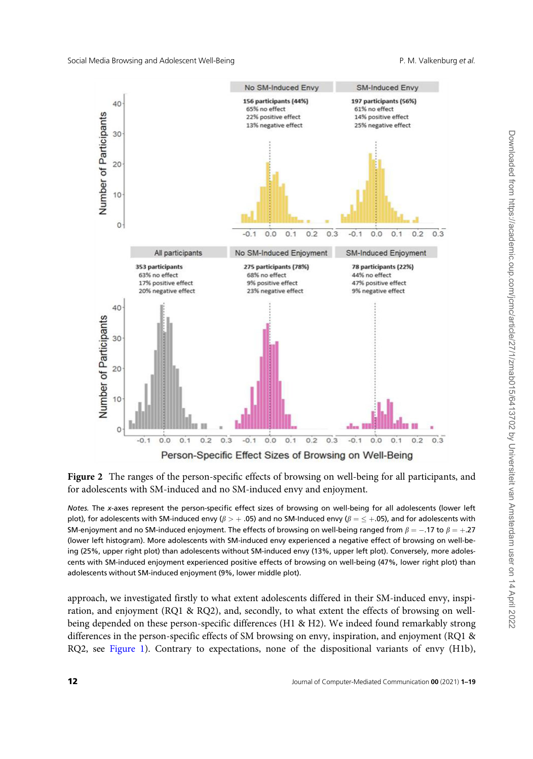

Figure 2 The ranges of the person-specific effects of browsing on well-being for all participants, and for adolescents with SM-induced and no SM-induced envy and enjoyment.

Notes. The x-axes represent the person-specific effect sizes of browsing on well-being for all adolescents (lower left plot), for adolescents with SM-induced envy ( $\beta > +.05$ ) and no SM-Induced envy ( $\beta = \leq +.05$ ), and for adolescents with SM-enjoyment and no SM-induced enjoyment. The effects of browsing on well-being ranged from  $\beta = -.17$  to  $\beta = +.27$ (lower left histogram). More adolescents with SM-induced envy experienced a negative effect of browsing on well-being (25%, upper right plot) than adolescents without SM-induced envy (13%, upper left plot). Conversely, more adolescents with SM-induced enjoyment experienced positive effects of browsing on well-being (47%, lower right plot) than adolescents without SM-induced enjoyment (9%, lower middle plot).

approach, we investigated firstly to what extent adolescents differed in their SM-induced envy, inspiration, and enjoyment (RQ1 & RQ2), and, secondly, to what extent the effects of browsing on wellbeing depended on these person-specific differences (H1 & H2). We indeed found remarkably strong differences in the person-specific effects of SM browsing on envy, inspiration, and enjoyment (RQ1 & RQ2, see Figure 1). Contrary to expectations, none of the dispositional variants of envy (H1b),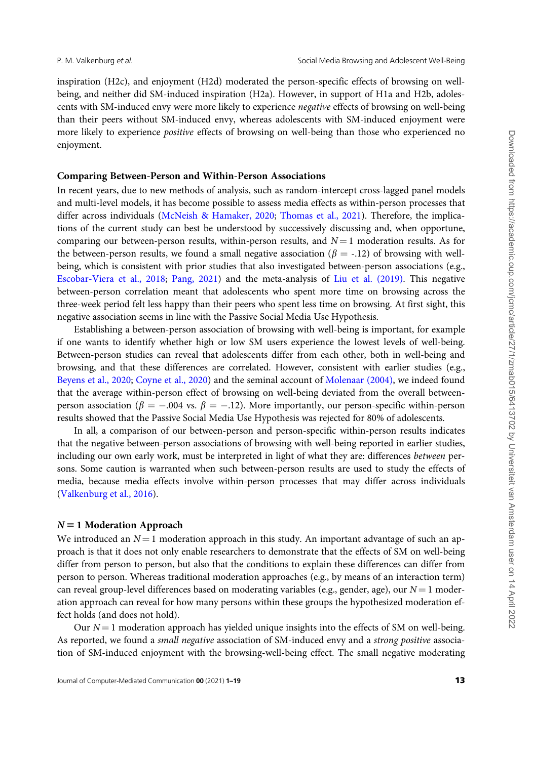inspiration (H2c), and enjoyment (H2d) moderated the person-specific effects of browsing on wellbeing, and neither did SM-induced inspiration (H2a). However, in support of H1a and H2b, adolescents with SM-induced envy were more likely to experience negative effects of browsing on well-being than their peers without SM-induced envy, whereas adolescents with SM-induced enjoyment were more likely to experience *positive* effects of browsing on well-being than those who experienced no enjoyment.

### Comparing Between-Person and Within-Person Associations

In recent years, due to new methods of analysis, such as random-intercept cross-lagged panel models and multi-level models, it has become possible to assess media effects as within-person processes that differ across individuals (McNeish & Hamaker, 2020; Thomas et al., 2021). Therefore, the implications of the current study can best be understood by successively discussing and, when opportune, comparing our between-person results, within-person results, and  $N = 1$  moderation results. As for the between-person results, we found a small negative association ( $\beta$  = -.12) of browsing with wellbeing, which is consistent with prior studies that also investigated between-person associations (e.g., Escobar-Viera et al., 2018; Pang, 2021) and the meta-analysis of Liu et al. (2019). This negative between-person correlation meant that adolescents who spent more time on browsing across the three-week period felt less happy than their peers who spent less time on browsing. At first sight, this negative association seems in line with the Passive Social Media Use Hypothesis.

Establishing a between-person association of browsing with well-being is important, for example if one wants to identify whether high or low SM users experience the lowest levels of well-being. Between-person studies can reveal that adolescents differ from each other, both in well-being and browsing, and that these differences are correlated. However, consistent with earlier studies (e.g., Beyens et al., 2020; Coyne et al., 2020) and the seminal account of Molenaar (2004), we indeed found that the average within-person effect of browsing on well-being deviated from the overall betweenperson association ( $\beta = -.004$  vs.  $\beta = -.12$ ). More importantly, our person-specific within-person results showed that the Passive Social Media Use Hypothesis was rejected for 80% of adolescents.

In all, a comparison of our between-person and person-specific within-person results indicates that the negative between-person associations of browsing with well-being reported in earlier studies, including our own early work, must be interpreted in light of what they are: differences between persons. Some caution is warranted when such between-person results are used to study the effects of media, because media effects involve within-person processes that may differ across individuals (Valkenburg et al., 2016).

#### $N = 1$  Moderation Approach

We introduced an  $N = 1$  moderation approach in this study. An important advantage of such an approach is that it does not only enable researchers to demonstrate that the effects of SM on well-being differ from person to person, but also that the conditions to explain these differences can differ from person to person. Whereas traditional moderation approaches (e.g., by means of an interaction term) can reveal group-level differences based on moderating variables (e.g., gender, age), our  $N = 1$  moderation approach can reveal for how many persons within these groups the hypothesized moderation effect holds (and does not hold).

Our  $N = 1$  moderation approach has yielded unique insights into the effects of SM on well-being. As reported, we found a small negative association of SM-induced envy and a strong positive association of SM-induced enjoyment with the browsing-well-being effect. The small negative moderating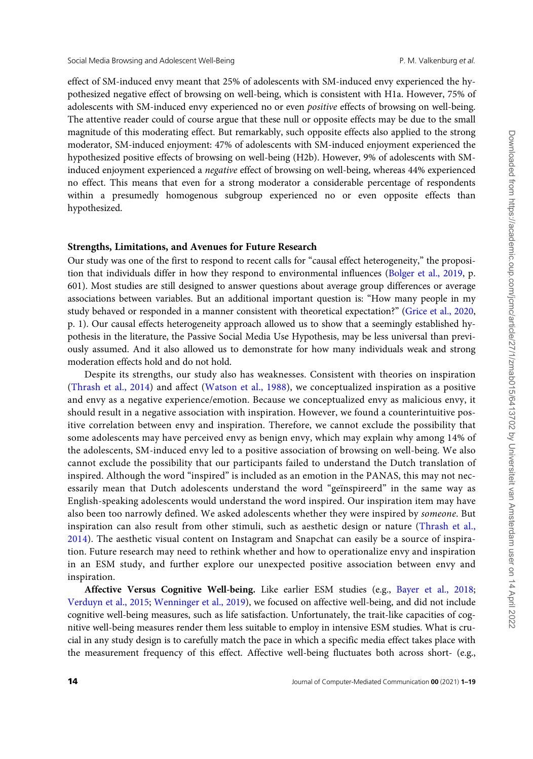effect of SM-induced envy meant that 25% of adolescents with SM-induced envy experienced the hypothesized negative effect of browsing on well-being, which is consistent with H1a. However, 75% of adolescents with SM-induced envy experienced no or even positive effects of browsing on well-being. The attentive reader could of course argue that these null or opposite effects may be due to the small magnitude of this moderating effect. But remarkably, such opposite effects also applied to the strong moderator, SM-induced enjoyment: 47% of adolescents with SM-induced enjoyment experienced the hypothesized positive effects of browsing on well-being (H2b). However, 9% of adolescents with SMinduced enjoyment experienced a negative effect of browsing on well-being, whereas 44% experienced no effect. This means that even for a strong moderator a considerable percentage of respondents within a presumedly homogenous subgroup experienced no or even opposite effects than hypothesized.

#### Strengths, Limitations, and Avenues for Future Research

Our study was one of the first to respond to recent calls for "causal effect heterogeneity," the proposition that individuals differ in how they respond to environmental influences (Bolger et al., 2019, p. 601). Most studies are still designed to answer questions about average group differences or average associations between variables. But an additional important question is: "How many people in my study behaved or responded in a manner consistent with theoretical expectation?" (Grice et al., 2020, p. 1). Our causal effects heterogeneity approach allowed us to show that a seemingly established hypothesis in the literature, the Passive Social Media Use Hypothesis, may be less universal than previously assumed. And it also allowed us to demonstrate for how many individuals weak and strong moderation effects hold and do not hold.

Despite its strengths, our study also has weaknesses. Consistent with theories on inspiration (Thrash et al., 2014) and affect (Watson et al., 1988), we conceptualized inspiration as a positive and envy as a negative experience/emotion. Because we conceptualized envy as malicious envy, it should result in a negative association with inspiration. However, we found a counterintuitive positive correlation between envy and inspiration. Therefore, we cannot exclude the possibility that some adolescents may have perceived envy as benign envy, which may explain why among 14% of the adolescents, SM-induced envy led to a positive association of browsing on well-being. We also cannot exclude the possibility that our participants failed to understand the Dutch translation of inspired. Although the word "inspired" is included as an emotion in the PANAS, this may not necessarily mean that Dutch adolescents understand the word "geïnspireerd" in the same way as English-speaking adolescents would understand the word inspired. Our inspiration item may have also been too narrowly defined. We asked adolescents whether they were inspired by someone. But inspiration can also result from other stimuli, such as aesthetic design or nature (Thrash et al., 2014). The aesthetic visual content on Instagram and Snapchat can easily be a source of inspiration. Future research may need to rethink whether and how to operationalize envy and inspiration in an ESM study, and further explore our unexpected positive association between envy and inspiration.

Affective Versus Cognitive Well-being. Like earlier ESM studies (e.g., Bayer et al., 2018; Verduyn et al., 2015; Wenninger et al., 2019), we focused on affective well-being, and did not include cognitive well-being measures, such as life satisfaction. Unfortunately, the trait-like capacities of cognitive well-being measures render them less suitable to employ in intensive ESM studies. What is crucial in any study design is to carefully match the pace in which a specific media effect takes place with the measurement frequency of this effect. Affective well-being fluctuates both across short- (e.g.,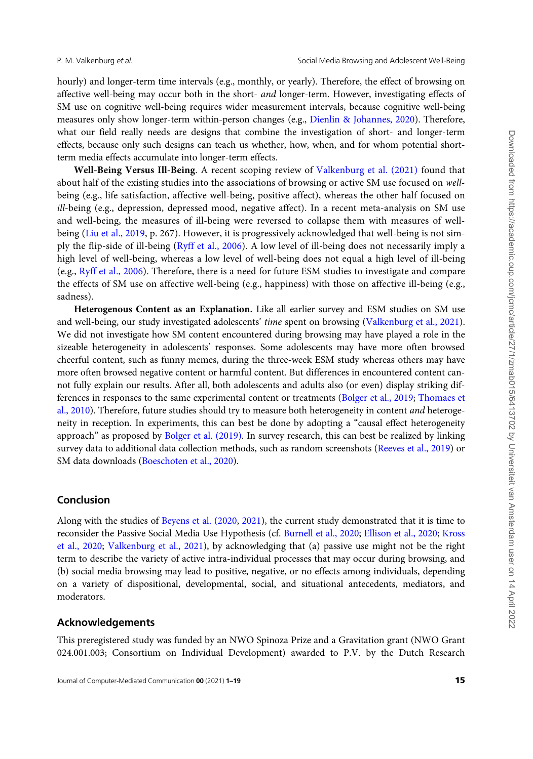hourly) and longer-term time intervals (e.g., monthly, or yearly). Therefore, the effect of browsing on affective well-being may occur both in the short- and longer-term. However, investigating effects of SM use on cognitive well-being requires wider measurement intervals, because cognitive well-being measures only show longer-term within-person changes (e.g., Dienlin & Johannes, 2020). Therefore, what our field really needs are designs that combine the investigation of short- and longer-term effects, because only such designs can teach us whether, how, when, and for whom potential shortterm media effects accumulate into longer-term effects.

Well-Being Versus Ill-Being. A recent scoping review of Valkenburg et al. (2021) found that about half of the existing studies into the associations of browsing or active SM use focused on wellbeing (e.g., life satisfaction, affective well-being, positive affect), whereas the other half focused on ill-being (e.g., depression, depressed mood, negative affect). In a recent meta-analysis on SM use and well-being, the measures of ill-being were reversed to collapse them with measures of wellbeing (Liu et al., 2019, p. 267). However, it is progressively acknowledged that well-being is not simply the flip-side of ill-being (Ryff et al., 2006). A low level of ill-being does not necessarily imply a high level of well-being, whereas a low level of well-being does not equal a high level of ill-being (e.g., Ryff et al., 2006). Therefore, there is a need for future ESM studies to investigate and compare the effects of SM use on affective well-being (e.g., happiness) with those on affective ill-being (e.g., sadness).

Heterogenous Content as an Explanation. Like all earlier survey and ESM studies on SM use and well-being, our study investigated adolescents' time spent on browsing (Valkenburg et al., 2021). We did not investigate how SM content encountered during browsing may have played a role in the sizeable heterogeneity in adolescents' responses. Some adolescents may have more often browsed cheerful content, such as funny memes, during the three-week ESM study whereas others may have more often browsed negative content or harmful content. But differences in encountered content cannot fully explain our results. After all, both adolescents and adults also (or even) display striking differences in responses to the same experimental content or treatments (Bolger et al., 2019; Thomaes et al., 2010). Therefore, future studies should try to measure both heterogeneity in content and heterogeneity in reception. In experiments, this can best be done by adopting a "causal effect heterogeneity approach" as proposed by Bolger et al. (2019). In survey research, this can best be realized by linking survey data to additional data collection methods, such as random screenshots (Reeves et al., 2019) or SM data downloads (Boeschoten et al., 2020).

### Conclusion

Along with the studies of Beyens et al. (2020, 2021), the current study demonstrated that it is time to reconsider the Passive Social Media Use Hypothesis (cf. Burnell et al., 2020; Ellison et al., 2020; Kross et al., 2020; Valkenburg et al., 2021), by acknowledging that (a) passive use might not be the right term to describe the variety of active intra-individual processes that may occur during browsing, and (b) social media browsing may lead to positive, negative, or no effects among individuals, depending on a variety of dispositional, developmental, social, and situational antecedents, mediators, and moderators.

#### Acknowledgements

This preregistered study was funded by an NWO Spinoza Prize and a Gravitation grant (NWO Grant 024.001.003; Consortium on Individual Development) awarded to P.V. by the Dutch Research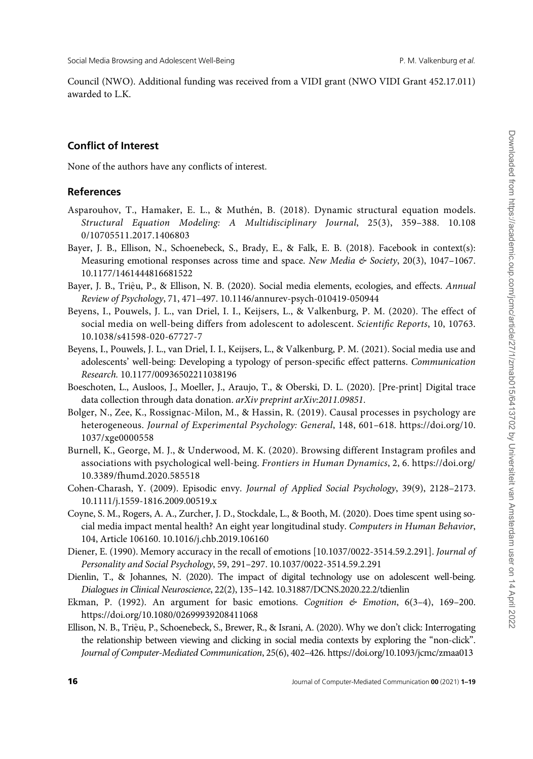Council (NWO). Additional funding was received from a VIDI grant (NWO VIDI Grant 452.17.011) awarded to L.K.

# Conflict of Interest

None of the authors have any conflicts of interest.

### References

- Asparouhov, T., Hamaker, E. L., & Muthén, B. (2018). Dynamic structural equation models. Structural Equation Modeling: A Multidisciplinary Journal, 25(3), 359–388. 10.108 0/10705511.2017.1406803
- Bayer, J. B., Ellison, N., Schoenebeck, S., Brady, E., & Falk, E. B. (2018). Facebook in context(s): Measuring emotional responses across time and space. New Media & Society, 20(3), 1047-1067. 10.1177/1461444816681522
- Bayer, J. B., Triệu, P., & Ellison, N. B. (2020). Social media elements, ecologies, and effects. Annual Review of Psychology, 71, 471–497. 10.1146/annurev-psych-010419-050944
- Beyens, I., Pouwels, J. L., van Driel, I. I., Keijsers, L., & Valkenburg, P. M. (2020). The effect of social media on well-being differs from adolescent to adolescent. Scientific Reports, 10, 10763. 10.1038/s41598-020-67727-7
- Beyens, I., Pouwels, J. L., van Driel, I. I., Keijsers, L., & Valkenburg, P. M. (2021). Social media use and adolescents' well-being: Developing a typology of person-specific effect patterns. Communication Research. 10.1177/00936502211038196
- Boeschoten, L., Ausloos, J., Moeller, J., Araujo, T., & Oberski, D. L. (2020). [Pre-print] Digital trace data collection through data donation. arXiv preprint arXiv:2011.09851.
- Bolger, N., Zee, K., Rossignac-Milon, M., & Hassin, R. (2019). Causal processes in psychology are heterogeneous. Journal of Experimental Psychology: General, 148, 601–618. https://doi.org/10. 1037/xge0000558
- Burnell, K., George, M. J., & Underwood, M. K. (2020). Browsing different Instagram profiles and associations with psychological well-being. Frontiers in Human Dynamics, 2, 6. https://doi.org/ 10.3389/fhumd.2020.585518
- Cohen-Charash, Y. (2009). Episodic envy. Journal of Applied Social Psychology, 39(9), 2128–2173. 10.1111/j.1559-1816.2009.00519.x
- Coyne, S. M., Rogers, A. A., Zurcher, J. D., Stockdale, L., & Booth, M. (2020). Does time spent using social media impact mental health? An eight year longitudinal study. Computers in Human Behavior, 104, Article 106160. 10.1016/j.chb.2019.106160
- Diener, E. (1990). Memory accuracy in the recall of emotions [10.1037/0022-3514.59.2.291]. Journal of Personality and Social Psychology, 59, 291–297. 10.1037/0022-3514.59.2.291
- Dienlin, T., & Johannes, N. (2020). The impact of digital technology use on adolescent well-being. Dialogues in Clinical Neuroscience, 22(2), 135–142. 10.31887/DCNS.2020.22.2/tdienlin
- Ekman, P. (1992). An argument for basic emotions. Cognition  $\mathfrak{G}$  Emotion, 6(3-4), 169-200. https://doi.org/10.1080/02699939208411068
- Ellison, N. B., Triệu, P., Schoenebeck, S., Brewer, R., & Israni, A. (2020). Why we don't click: Interrogating the relationship between viewing and clicking in social media contexts by exploring the "non-click". Journal of Computer-Mediated Communication, 25(6), 402–426. https://doi.org/10.1093/jcmc/zmaa013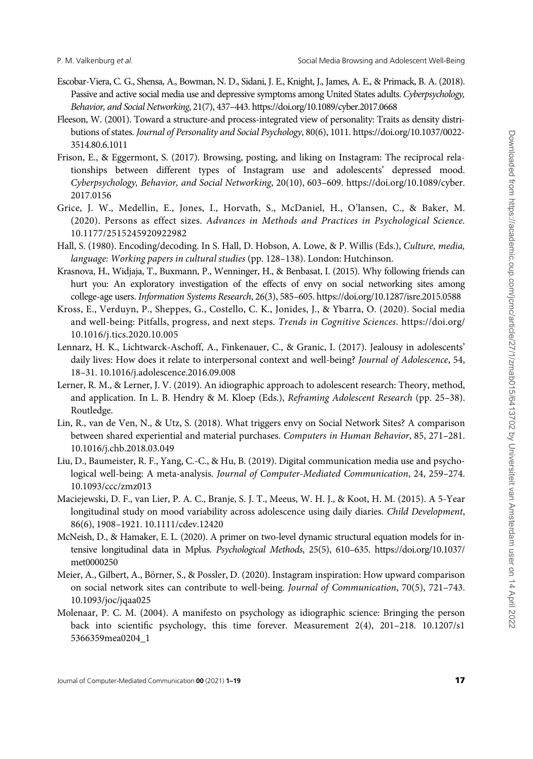- Escobar-Viera, C. G., Shensa, A., Bowman, N. D., Sidani, J. E., Knight, J., James, A. E., & Primack, B. A. (2018). Passive and active social media use and depressive symptoms among United States adults. Cyberpsychology, Behavior, and Social Networking, 21(7), 437–443. https://doi.org/10.1089/cyber.2017.0668
- Fleeson, W. (2001). Toward a structure-and process-integrated view of personality: Traits as density distributions of states. Journal of Personality and Social Psychology, 80(6), 1011. https://doi.org/10.1037/0022- 3514.80.6.1011
- Frison, E., & Eggermont, S. (2017). Browsing, posting, and liking on Instagram: The reciprocal relationships between different types of Instagram use and adolescents' depressed mood. Cyberpsychology, Behavior, and Social Networking, 20(10), 603–609. https://doi.org/10.1089/cyber. 2017.0156
- Grice, J. W., Medellin, E., Jones, I., Horvath, S., McDaniel, H., O'lansen, C., & Baker, M. (2020). Persons as effect sizes. Advances in Methods and Practices in Psychological Science. 10.1177/2515245920922982
- Hall, S. (1980). Encoding/decoding. In S. Hall, D. Hobson, A. Lowe, & P. Willis (Eds.), Culture, media, language: Working papers in cultural studies (pp. 128–138). London: Hutchinson.
- Krasnova, H., Widjaja, T., Buxmann, P., Wenninger, H., & Benbasat, I. (2015). Why following friends can hurt you: An exploratory investigation of the effects of envy on social networking sites among college-age users. Information Systems Research, 26(3), 585–605. https://doi.org/10.1287/isre.2015.0588
- Kross, E., Verduyn, P., Sheppes, G., Costello, C. K., Jonides, J., & Ybarra, O. (2020). Social media and well-being: Pitfalls, progress, and next steps. Trends in Cognitive Sciences. https://doi.org/ 10.1016/j.tics.2020.10.005
- Lennarz, H. K., Lichtwarck-Aschoff, A., Finkenauer, C., & Granic, I. (2017). Jealousy in adolescents' daily lives: How does it relate to interpersonal context and well-being? Journal of Adolescence, 54, 18–31. 10.1016/j.adolescence.2016.09.008
- Lerner, R. M., & Lerner, J. V. (2019). An idiographic approach to adolescent research: Theory, method, and application. In L. B. Hendry & M. Kloep (Eds.), Reframing Adolescent Research (pp. 25–38). Routledge.
- Lin, R., van de Ven, N., & Utz, S. (2018). What triggers envy on Social Network Sites? A comparison between shared experiential and material purchases. Computers in Human Behavior, 85, 271–281. 10.1016/j.chb.2018.03.049
- Liu, D., Baumeister, R. F., Yang, C.-C., & Hu, B. (2019). Digital communication media use and psychological well-being: A meta-analysis. Journal of Computer-Mediated Communication, 24, 259–274. 10.1093/ccc/zmz013
- Maciejewski, D. F., van Lier, P. A. C., Branje, S. J. T., Meeus, W. H. J., & Koot, H. M. (2015). A 5-Year longitudinal study on mood variability across adolescence using daily diaries. Child Development, 86(6), 1908–1921. 10.1111/cdev.12420
- McNeish, D., & Hamaker, E. L. (2020). A primer on two-level dynamic structural equation models for intensive longitudinal data in Mplus. Psychological Methods, 25(5), 610–635. https://doi.org/10.1037/ met0000250
- Meier, A., Gilbert, A., Börner, S., & Possler, D. (2020). Instagram inspiration: How upward comparison on social network sites can contribute to well-being. Journal of Communication, 70(5), 721–743. 10.1093/joc/jqaa025
- Molenaar, P. C. M. (2004). A manifesto on psychology as idiographic science: Bringing the person back into scientific psychology, this time forever. Measurement 2(4), 201–218. 10.1207/s1 5366359mea0204\_1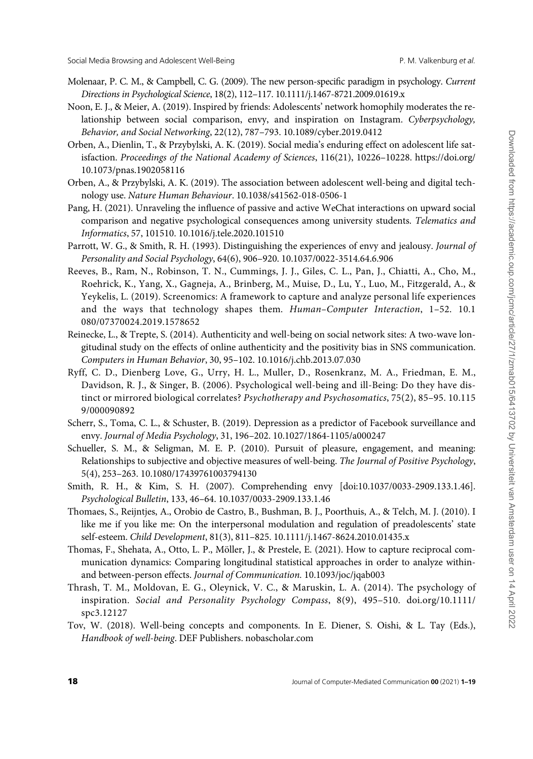- Molenaar, P. C. M., & Campbell, C. G. (2009). The new person-specific paradigm in psychology. Current Directions in Psychological Science, 18(2), 112–117. 10.1111/j.1467-8721.2009.01619.x
- Noon, E. J., & Meier, A. (2019). Inspired by friends: Adolescents' network homophily moderates the relationship between social comparison, envy, and inspiration on Instagram. Cyberpsychology, Behavior, and Social Networking, 22(12), 787–793. 10.1089/cyber.2019.0412
- Orben, A., Dienlin, T., & Przybylski, A. K. (2019). Social media's enduring effect on adolescent life satisfaction. Proceedings of the National Academy of Sciences, 116(21), 10226–10228. https://doi.org/ 10.1073/pnas.1902058116
- Orben, A., & Przybylski, A. K. (2019). The association between adolescent well-being and digital technology use. Nature Human Behaviour. 10.1038/s41562-018-0506-1
- Pang, H. (2021). Unraveling the influence of passive and active WeChat interactions on upward social comparison and negative psychological consequences among university students. Telematics and Informatics, 57, 101510. 10.1016/j.tele.2020.101510
- Parrott, W. G., & Smith, R. H. (1993). Distinguishing the experiences of envy and jealousy. Journal of Personality and Social Psychology, 64(6), 906–920. 10.1037/0022-3514.64.6.906
- Reeves, B., Ram, N., Robinson, T. N., Cummings, J. J., Giles, C. L., Pan, J., Chiatti, A., Cho, M., Roehrick, K., Yang, X., Gagneja, A., Brinberg, M., Muise, D., Lu, Y., Luo, M., Fitzgerald, A., & Yeykelis, L. (2019). Screenomics: A framework to capture and analyze personal life experiences and the ways that technology shapes them. Human-Computer Interaction, 1-52. 10.1 080/07370024.2019.1578652
- Reinecke, L., & Trepte, S. (2014). Authenticity and well-being on social network sites: A two-wave longitudinal study on the effects of online authenticity and the positivity bias in SNS communication. Computers in Human Behavior, 30, 95–102. 10.1016/j.chb.2013.07.030
- Ryff, C. D., Dienberg Love, G., Urry, H. L., Muller, D., Rosenkranz, M. A., Friedman, E. M., Davidson, R. J., & Singer, B. (2006). Psychological well-being and ill-Being: Do they have distinct or mirrored biological correlates? Psychotherapy and Psychosomatics, 75(2), 85–95. 10.115 9/000090892
- Scherr, S., Toma, C. L., & Schuster, B. (2019). Depression as a predictor of Facebook surveillance and envy. Journal of Media Psychology, 31, 196–202. 10.1027/1864-1105/a000247
- Schueller, S. M., & Seligman, M. E. P. (2010). Pursuit of pleasure, engagement, and meaning: Relationships to subjective and objective measures of well-being. The Journal of Positive Psychology, 5(4), 253–263. 10.1080/17439761003794130
- Smith, R. H., & Kim, S. H. (2007). Comprehending envy [doi:10.1037/0033-2909.133.1.46]. Psychological Bulletin, 133, 46–64. 10.1037/0033-2909.133.1.46
- Thomaes, S., Reijntjes, A., Orobio de Castro, B., Bushman, B. J., Poorthuis, A., & Telch, M. J. (2010). I like me if you like me: On the interpersonal modulation and regulation of preadolescents' state self-esteem. Child Development, 81(3), 811–825. 10.1111/j.1467-8624.2010.01435.x
- Thomas, F., Shehata, A., Otto, L. P., Möller, J., & Prestele, E. (2021). How to capture reciprocal communication dynamics: Comparing longitudinal statistical approaches in order to analyze withinand between-person effects. Journal of Communication. 10.1093/joc/jqab003
- Thrash, T. M., Moldovan, E. G., Oleynick, V. C., & Maruskin, L. A. (2014). The psychology of inspiration. Social and Personality Psychology Compass, 8(9), 495–510. doi.org/10.1111/ spc3.12127
- Tov, W. (2018). Well-being concepts and components. In E. Diener, S. Oishi, & L. Tay (Eds.), Handbook of well-being. DEF Publishers. nobascholar.com